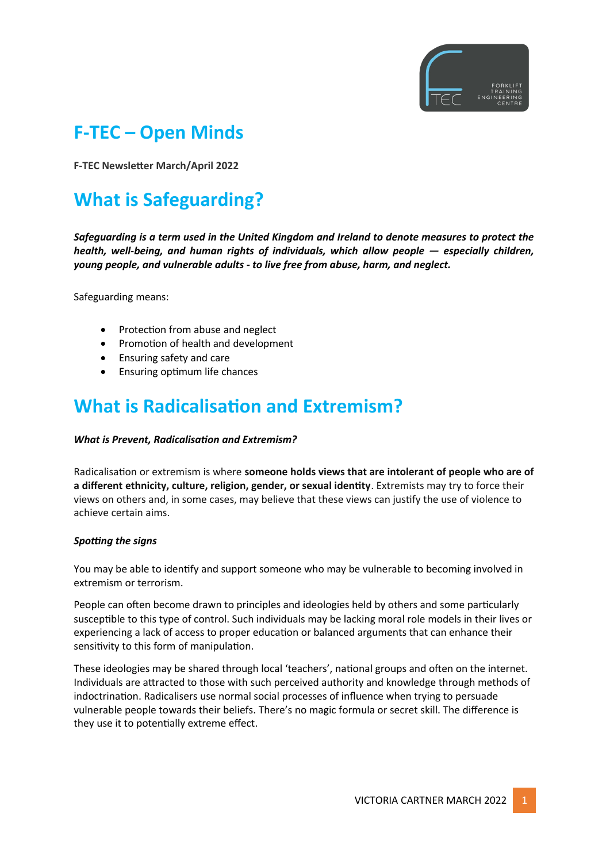

# **F-TEC – Open Minds**

**F-TEC Newsletter March/April 2022**

# **What is Safeguarding?**

*Safeguarding is a term used in the United Kingdom and Ireland to denote measures to protect the health, well-being, and human rights of individuals, which allow people — especially children, young people, and vulnerable adults - to live free from abuse, harm, and neglect.*

Safeguarding means:

- Protection from abuse and neglect
- Promotion of health and development
- Ensuring safety and care
- Ensuring optimum life chances

# **What is Radicalisation and Extremism?**

### *What is Prevent, Radicalisation and Extremism?*

Radicalisation or extremism is where **someone holds views that are intolerant of people who are of a different ethnicity, culture, religion, gender, or sexual identity**. Extremists may try to force their views on others and, in some cases, may believe that these views can justify the use of violence to achieve certain aims.

### *Spotting the signs*

You may be able to identify and support someone who may be vulnerable to becoming involved in extremism or terrorism.

People can often become drawn to principles and ideologies held by others and some particularly susceptible to this type of control. Such individuals may be lacking moral role models in their lives or experiencing a lack of access to proper education or balanced arguments that can enhance their sensitivity to this form of manipulation.

These ideologies may be shared through local 'teachers', national groups and often on the internet. Individuals are attracted to those with such perceived authority and knowledge through methods of indoctrination. Radicalisers use normal social processes of influence when trying to persuade vulnerable people towards their beliefs. There's no magic formula or secret skill. The difference is they use it to potentially extreme effect.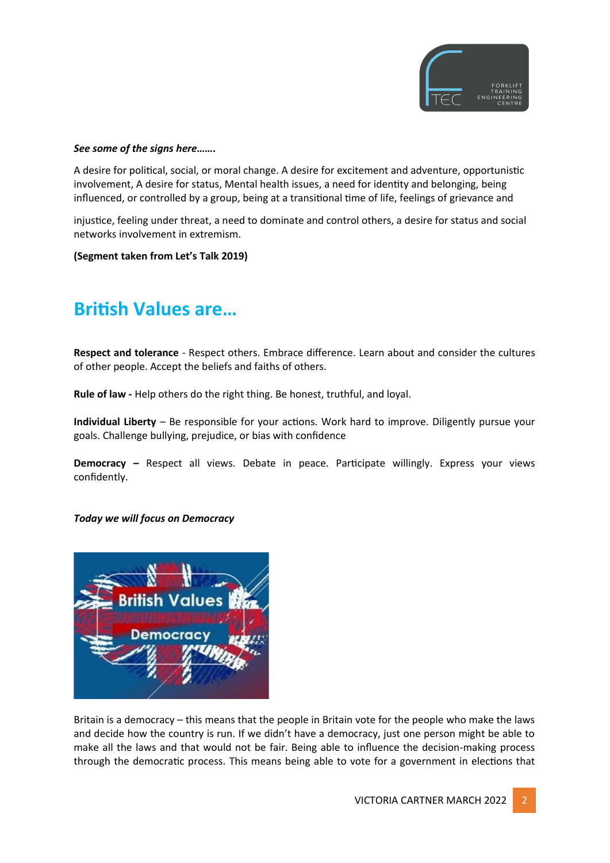

#### *See some of the signs here…….*

A desire for political, social, or moral change. A desire for excitement and adventure, opportunistic involvement, A desire for status, Mental health issues, a need for identity and belonging, being influenced, or controlled by a group, being at a transitional time of life, feelings of grievance and

injustice, feeling under threat, a need to dominate and control others, a desire for status and social networks involvement in extremism.

**(Segment taken from Let's Talk 2019)**

# **British Values are…**

**Respect and tolerance** - Respect others. Embrace difference. Learn about and consider the cultures of other people. Accept the beliefs and faiths of others.

**Rule of law -** Help others do the right thing. Be honest, truthful, and loyal.

**Individual Liberty** – Be responsible for your actions. Work hard to improve. Diligently pursue your goals. Challenge bullying, prejudice, or bias with confidence

**Democracy –** Respect all views. Debate in peace. Participate willingly. Express your views confidently.

### *Today we will focus on Democracy*



Britain is a democracy – this means that the people in Britain vote for the people who make the laws and decide how the country is run. If we didn't have a democracy, just one person might be able to make all the laws and that would not be fair. Being able to influence the decision-making process through the democratic process. This means being able to vote for a government in elections that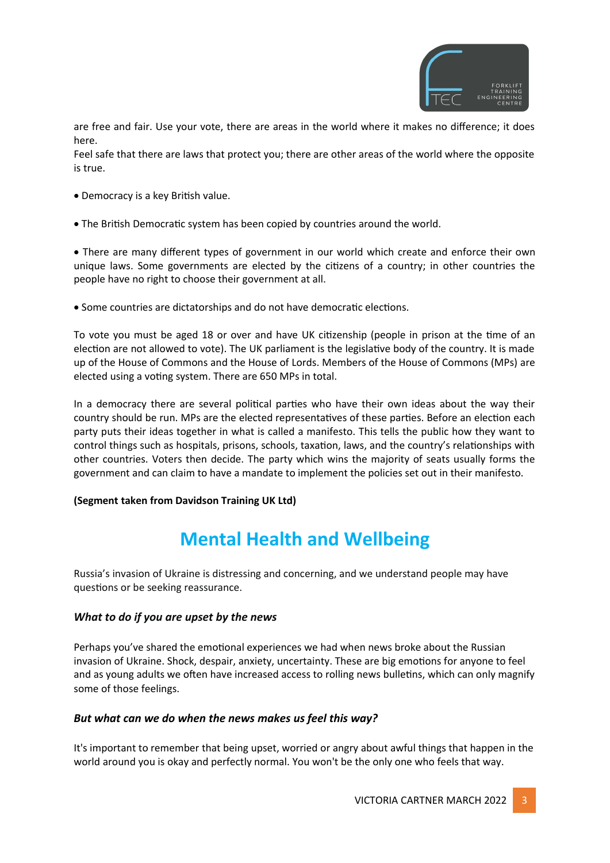

are free and fair. Use your vote, there are areas in the world where it makes no difference; it does here.

Feel safe that there are laws that protect you; there are other areas of the world where the opposite is true.

- Democracy is a key British value.
- The British Democratic system has been copied by countries around the world.

 There are many different types of government in our world which create and enforce their own unique laws. Some governments are elected by the citizens of a country; in other countries the people have no right to choose their government at all.

Some countries are dictatorships and do not have democratic elections.

To vote you must be aged 18 or over and have UK citizenship (people in prison at the time of an election are not allowed to vote). The UK parliament is the legislative body of the country. It is made up of the House of Commons and the House of Lords. Members of the House of Commons (MPs) are elected using a voting system. There are 650 MPs in total.

In a democracy there are several political parties who have their own ideas about the way their country should be run. MPs are the elected representatives of these parties. Before an election each party puts their ideas together in what is called a manifesto. This tells the public how they want to control things such as hospitals, prisons, schools, taxation, laws, and the country's relationships with other countries. Voters then decide. The party which wins the majority of seats usually forms the government and can claim to have a mandate to implement the policies set out in their manifesto.

### **(Segment taken from Davidson Training UK Ltd)**

# **Mental Health and Wellbeing**

Russia's invasion of Ukraine is distressing and concerning, and we understand people may have questions or be seeking reassurance.

# *What to do if you are upset by the news*

Perhaps you've shared the emotional experiences we had when news broke about the Russian invasion of Ukraine. Shock, despair, anxiety, uncertainty. These are big emotions for anyone to feel and as young adults we often have increased access to rolling news bulletins, which can only magnify some of those feelings.

# *But what can we do when the news makes us feel this way?*

It's important to remember that being upset, worried or angry about awful things that happen in the world around you is okay and perfectly normal. You won't be the only one who feels that way.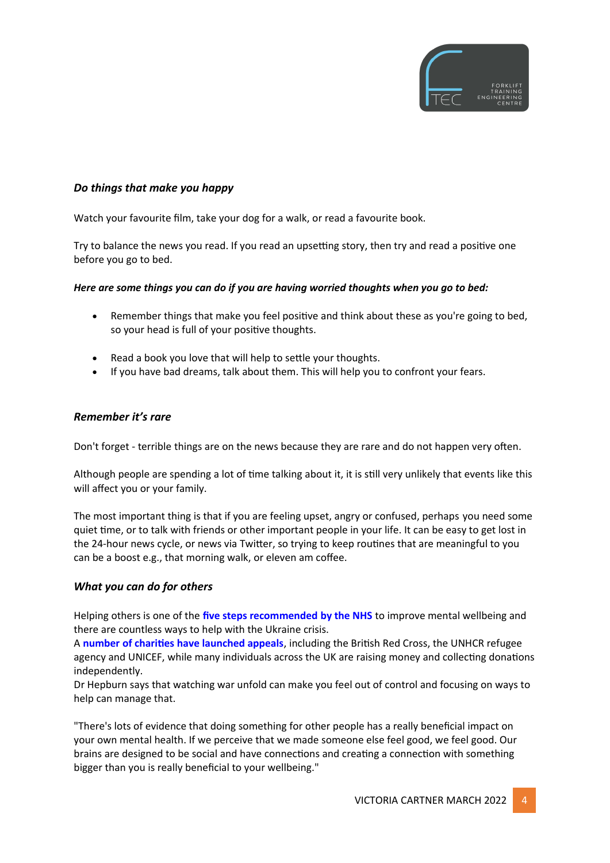

## *Do things that make you happy*

Watch your favourite film, take your dog for a walk, or read a favourite book.

Try to balance the news you read. If you read an upsetting story, then try and read a positive one before you go to bed.

### *Here are some things you can do if you are having worried thoughts when you go to bed:*

- Remember things that make you feel positive and think about these as you're going to bed, so your head is full of your positive thoughts.
- Read a book you love that will help to settle your thoughts.
- If you have bad dreams, talk about them. This will help you to confront your fears.

### *Remember it's rare*

Don't forget - terrible things are on the news because they are rare and do not happen very often.

Although people are spending a lot of time talking about it, it is still very unlikely that events like this will affect you or your family.

The most important thing is that if you are feeling upset, angry or confused, perhaps you need some quiet time, or to talk with friends or other important people in your life. It can be easy to get lost in the 24-hour news cycle, or news via Twitter, so trying to keep routines that are meaningful to you can be a boost e.g., that morning walk, or eleven am coffee.

### *What you can do for others*

Helping others is one of the **[five steps recommended by the NHS](https://www.nhs.uk/mental-health/self-help/guides-tools-and-activities/five-steps-to-mental-wellbeing/)** to improve mental wellbeing and there are countless ways to help with the Ukraine crisis.

A **[number of charities have launched appeals](https://www.bbc.co.uk/news/uk-60562260)**, including the British Red Cross, the UNHCR refugee agency and UNICEF, while many individuals across the UK are raising money and collecting donations independently.

Dr Hepburn says that watching war unfold can make you feel out of control and focusing on ways to help can manage that.

"There's lots of evidence that doing something for other people has a really beneficial impact on your own mental health. If we perceive that we made someone else feel good, we feel good. Our brains are designed to be social and have connections and creating a connection with something bigger than you is really beneficial to your wellbeing."